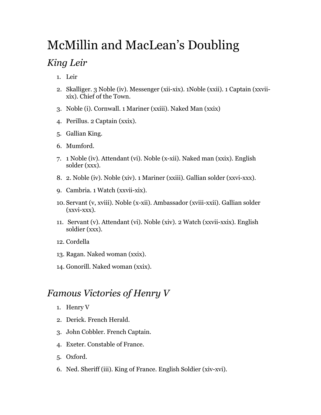## McMillin and MacLean's Doubling

## *King Leir*

- 1. Leir
- 2. Skalliger. 3 Noble (iv). Messenger (xii-xix). 1Noble (xxii). 1 Captain (xxviixix). Chief of the Town.
- 3. Noble (i). Cornwall. 1 Mariner (xxiii). Naked Man (xxix)
- 4. Perillus. 2 Captain (xxix).
- 5. Gallian King.
- 6. Mumford.
- 7. 1 Noble (iv). Attendant (vi). Noble (x-xii). Naked man (xxix). English solder (xxx).
- 8. 2. Noble (iv). Noble (xiv). 1 Mariner (xxiii). Gallian solder (xxvi-xxx).
- 9. Cambria. 1 Watch (xxvii-xix).
- 10. Servant (v, xviii). Noble (x-xii). Ambassador (xviii-xxii). Gallian solder (xxvi-xxx).
- 11. Servant (v). Attendant (vi). Noble (xiv). 2 Watch (xxvii-xxix). English soldier (xxx).
- 12. Cordella
- 13. Ragan. Naked woman (xxix).
- 14. Gonorill. Naked woman (xxix).

## *Famous Victories of Henry V*

- 1. Henry V
- 2. Derick. French Herald.
- 3. John Cobbler. French Captain.
- 4. Exeter. Constable of France.
- 5. Oxford.
- 6. Ned. Sheriff (iii). King of France. English Soldier (xiv-xvi).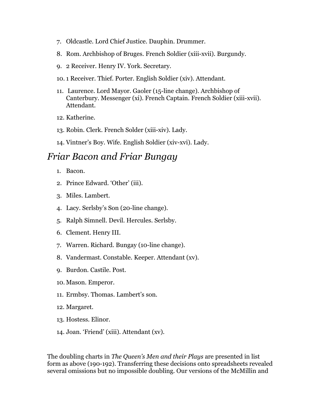- 7. Oldcastle. Lord Chief Justice. Dauphin. Drummer.
- 8. Rom. Archbishop of Bruges. French Soldier (xiii-xvii). Burgundy.
- 9. 2 Receiver. Henry IV. York. Secretary.
- 10. 1 Receiver. Thief. Porter. English Soldier (xiv). Attendant.
- 11. Laurence. Lord Mayor. Gaoler (15-line change). Archbishop of Canterbury. Messenger (xi). French Captain. French Soldier (xiii-xvii). Attendant.
- 12. Katherine.
- 13. Robin. Clerk. French Solder (xiii-xiv). Lady.
- 14. Vintner's Boy. Wife. English Soldier (xiv-xvi). Lady.

## *Friar Bacon and Friar Bungay*

- 1. Bacon.
- 2. Prince Edward. 'Other' (iii).
- 3. Miles. Lambert.
- 4. Lacy. Serlsby's Son (20-line change).
- 5. Ralph Simnell. Devil. Hercules. Serlsby.
- 6. Clement. Henry III.
- 7. Warren. Richard. Bungay (10-line change).
- 8. Vandermast. Constable. Keeper. Attendant (xv).
- 9. Burdon. Castile. Post.
- 10. Mason. Emperor.
- 11. Ermbsy. Thomas. Lambert's son.
- 12. Margaret.
- 13. Hostess. Elinor.
- 14. Joan. 'Friend' (xiii). Attendant (xv).

The doubling charts in *The Queen's Men and their Plays* are presented in list form as above (190-192). Transferring these decisions onto spreadsheets revealed several omissions but no impossible doubling. Our versions of the McMillin and